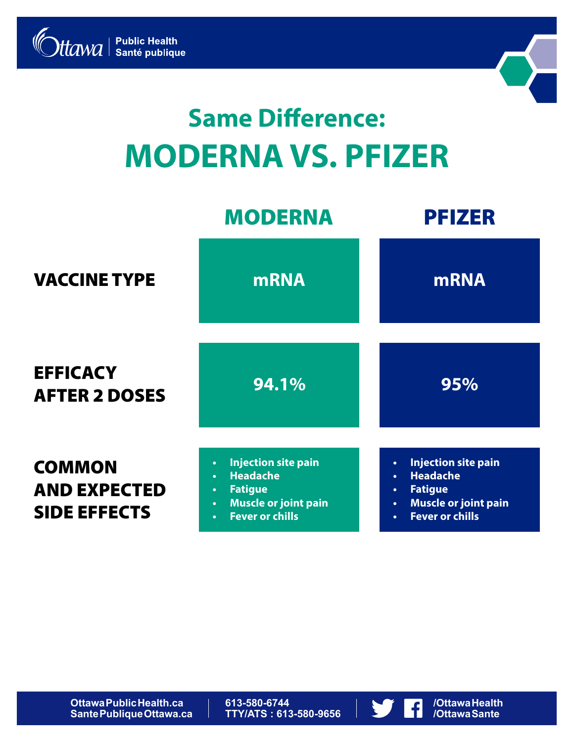



# **Same Difference: MODERNA VS. PFIZER**

|                                                             | <b>MODERNA</b>                                                                                                                                                                            | <b>PFIZER</b>                                                                                                                                                                             |
|-------------------------------------------------------------|-------------------------------------------------------------------------------------------------------------------------------------------------------------------------------------------|-------------------------------------------------------------------------------------------------------------------------------------------------------------------------------------------|
| <b>VACCINE TYPE</b>                                         | <b>mRNA</b>                                                                                                                                                                               | <b>mRNA</b>                                                                                                                                                                               |
| <b>EFFICACY</b><br><b>AFTER 2 DOSES</b>                     | 94.1%                                                                                                                                                                                     | 95%                                                                                                                                                                                       |
| <b>COMMON</b><br><b>AND EXPECTED</b><br><b>SIDE EFFECTS</b> | <b>Injection site pain</b><br>$\bullet$<br><b>Headache</b><br>$\bullet$<br><b>Fatigue</b><br>$\bullet$<br><b>Muscle or joint pain</b><br>$\bullet$<br><b>Fever or chills</b><br>$\bullet$ | <b>Injection site pain</b><br>$\bullet$<br><b>Headache</b><br>$\bullet$<br><b>Fatigue</b><br>$\bullet$<br><b>Muscle or joint pain</b><br>$\bullet$<br><b>Fever or chills</b><br>$\bullet$ |

**613-580-6744 TTY/ATS : 613-580-9656**